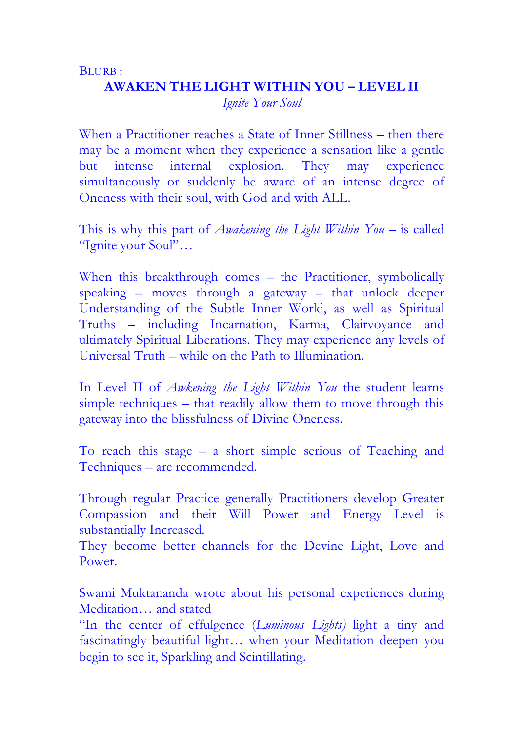## BLURB : **AWAKEN THE LIGHT WITHIN YOU – LEVEL II** *Ignite Your Soul*

When a Practitioner reaches a State of Inner Stillness – then there may be a moment when they experience a sensation like a gentle but intense internal explosion. They may experience simultaneously or suddenly be aware of an intense degree of Oneness with their soul, with God and with ALL.

This is why this part of *Awakening the Light Within You* – is called "Ignite your Soul"…

When this breakthrough comes – the Practitioner, symbolically speaking – moves through a gateway – that unlock deeper Understanding of the Subtle Inner World, as well as Spiritual Truths – including Incarnation, Karma, Clairvoyance and ultimately Spiritual Liberations. They may experience any levels of Universal Truth – while on the Path to Illumination.

In Level II of *Awkening the Light Within You* the student learns simple techniques – that readily allow them to move through this gateway into the blissfulness of Divine Oneness.

To reach this stage – a short simple serious of Teaching and Techniques – are recommended.

Through regular Practice generally Practitioners develop Greater Compassion and their Will Power and Energy Level is substantially Increased.

They become better channels for the Devine Light, Love and Power.

Swami Muktananda wrote about his personal experiences during Meditation… and stated

"In the center of effulgence (*Luminous Lights)* light a tiny and fascinatingly beautiful light… when your Meditation deepen you begin to see it, Sparkling and Scintillating.